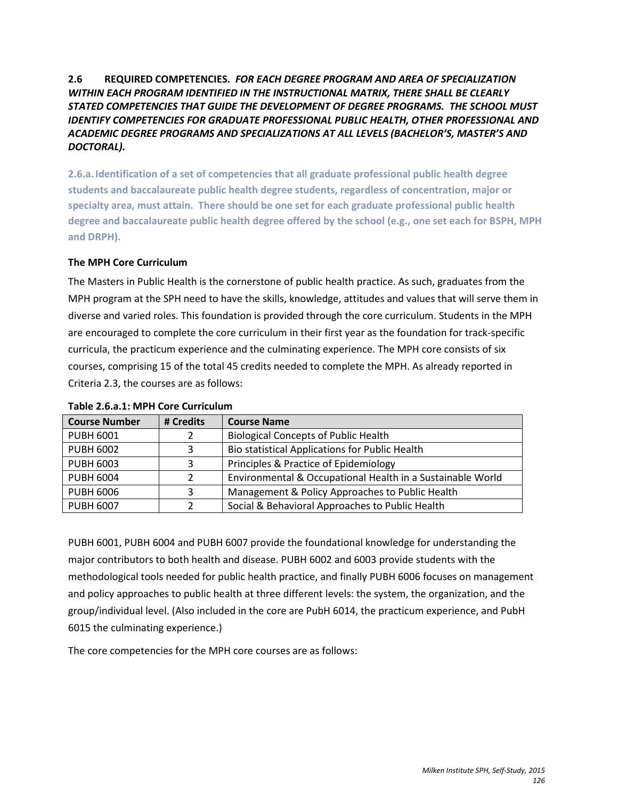## **2.6 REQUIRED COMPETENCIES.** *FOR EACH DEGREE PROGRAM AND AREA OF SPECIALIZATION WITHIN EACH PROGRAM IDENTIFIED IN THE INSTRUCTIONAL MATRIX, THERE SHALL BE CLEARLY STATED COMPETENCIES THAT GUIDE THE DEVELOPMENT OF DEGREE PROGRAMS. THE SCHOOL MUST IDENTIFY COMPETENCIES FOR GRADUATE PROFESSIONAL PUBLIC HEALTH, OTHER PROFESSIONAL AND ACADEMIC DEGREE PROGRAMS AND SPECIALIZATIONS AT ALL LEVELS (BACHELOR'S, MASTER'S AND DOCTORAL).*

**2.6.a. Identification of a set of competencies that all graduate professional public health degree students and baccalaureate public health degree students, regardless of concentration, major or specialty area, must attain. There should be one set for each graduate professional public health degree and baccalaureate public health degree offered by the school (e.g., one set each for BSPH, MPH and DRPH).**

## **The MPH Core Curriculum**

The Masters in Public Health is the cornerstone of public health practice. As such, graduates from the MPH program at the SPH need to have the skills, knowledge, attitudes and values that will serve them in diverse and varied roles. This foundation is provided through the core curriculum. Students in the MPH are encouraged to complete the core curriculum in their first year as the foundation for track-specific curricula, the practicum experience and the culminating experience. The MPH core consists of six courses, comprising 15 of the total 45 credits needed to complete the MPH. As already reported in Criteria 2.3, the courses are as follows:

| <b>Course Number</b> | # Credits | <b>Course Name</b>                                         |
|----------------------|-----------|------------------------------------------------------------|
| <b>PUBH 6001</b>     |           | <b>Biological Concepts of Public Health</b>                |
| <b>PUBH 6002</b>     | ς         | Bio statistical Applications for Public Health             |
| <b>PUBH 6003</b>     | ς         | Principles & Practice of Epidemiology                      |
| <b>PUBH 6004</b>     |           | Environmental & Occupational Health in a Sustainable World |
| <b>PUBH 6006</b>     | 3         | Management & Policy Approaches to Public Health            |
| <b>PUBH 6007</b>     |           | Social & Behavioral Approaches to Public Health            |

#### **Table 2.6.a.1: MPH Core Curriculum**

PUBH 6001, PUBH 6004 and PUBH 6007 provide the foundational knowledge for understanding the major contributors to both health and disease. PUBH 6002 and 6003 provide students with the methodological tools needed for public health practice, and finally PUBH 6006 focuses on management and policy approaches to public health at three different levels: the system, the organization, and the group/individual level. (Also included in the core are PubH 6014, the practicum experience, and PubH 6015 the culminating experience.)

The core competencies for the MPH core courses are as follows: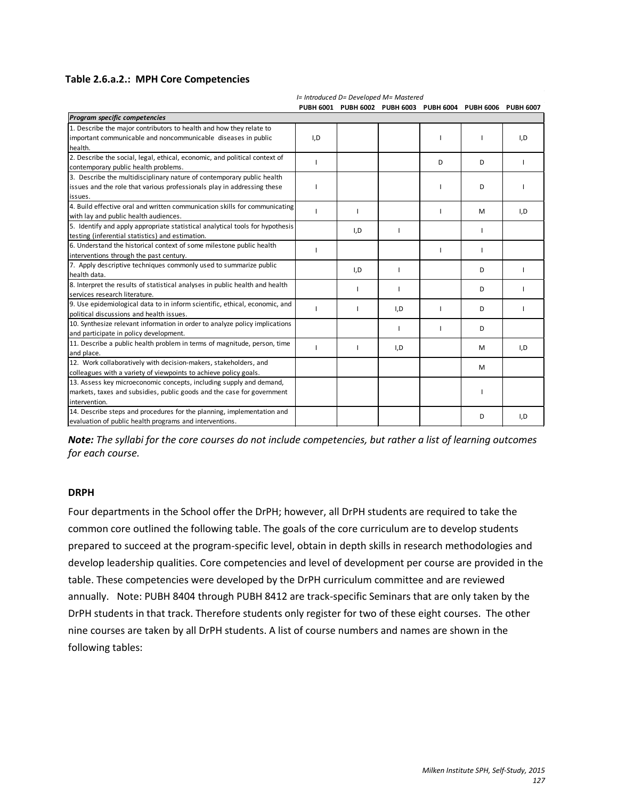#### **Table 2.6.a.2.: MPH Core Competencies**

|                                                                               |     | PUBH 6001 PUBH 6002 PUBH 6003 PUBH 6004 PUBH 6006 PUBH 6007 |     |   |   |     |
|-------------------------------------------------------------------------------|-----|-------------------------------------------------------------|-----|---|---|-----|
| Program specific competencies                                                 |     |                                                             |     |   |   |     |
| 1. Describe the major contributors to health and how they relate to           |     |                                                             |     |   |   |     |
| important communicable and noncommunicable diseases in public                 | I,D |                                                             |     |   |   | I,D |
| health.                                                                       |     |                                                             |     |   |   |     |
| 2. Describe the social, legal, ethical, economic, and political context of    |     |                                                             |     | D | D |     |
| contemporary public health problems.                                          |     |                                                             |     |   |   |     |
| 3. Describe the multidisciplinary nature of contemporary public health        |     |                                                             |     |   |   |     |
| issues and the role that various professionals play in addressing these       |     |                                                             |     |   | D |     |
| issues.                                                                       |     |                                                             |     |   |   |     |
| 4. Build effective oral and written communication skills for communicating    |     | п                                                           |     |   | M | I,D |
| with lay and public health audiences.                                         |     |                                                             |     |   |   |     |
| 5. Identify and apply appropriate statistical analytical tools for hypothesis |     | I,D                                                         |     |   |   |     |
| testing (inferential statistics) and estimation.                              |     |                                                             |     |   |   |     |
| 6. Understand the historical context of some milestone public health          |     |                                                             |     |   |   |     |
| interventions through the past century.                                       |     |                                                             |     |   |   |     |
| 7. Apply descriptive techniques commonly used to summarize public             |     | I,D                                                         | H   |   | D |     |
| health data.                                                                  |     |                                                             |     |   |   |     |
| 8. Interpret the results of statistical analyses in public health and health  |     |                                                             |     |   | D |     |
| services research literature.                                                 |     |                                                             |     |   |   |     |
| 9. Use epidemiological data to in inform scientific, ethical, economic, and   |     |                                                             | I,D |   | D |     |
| political discussions and health issues.                                      |     |                                                             |     |   |   |     |
| 10. Synthesize relevant information in order to analyze policy implications   |     |                                                             |     |   | D |     |
| and participate in policy development.                                        |     |                                                             |     |   |   |     |
| 11. Describe a public health problem in terms of magnitude, person, time      |     | п                                                           | I,D |   | M | I,D |
| and place.                                                                    |     |                                                             |     |   |   |     |
| 12. Work collaboratively with decision-makers, stakeholders, and              |     |                                                             |     |   | M |     |
| colleagues with a variety of viewpoints to achieve policy goals.              |     |                                                             |     |   |   |     |
| 13. Assess key microeconomic concepts, including supply and demand,           |     |                                                             |     |   |   |     |
| markets, taxes and subsidies, public goods and the case for government        |     |                                                             |     |   |   |     |
| lintervention.                                                                |     |                                                             |     |   |   |     |
| 14. Describe steps and procedures for the planning, implementation and        |     |                                                             |     |   | D | I,D |
| evaluation of public health programs and interventions.                       |     |                                                             |     |   |   |     |

*I= Introduced D= Developed M= Mastered*

*Note: The syllabi for the core courses do not include competencies, but rather a list of learning outcomes for each course.*

#### **DRPH**

Four departments in the School offer the DrPH; however, all DrPH students are required to take the common core outlined the following table. The goals of the core curriculum are to develop students prepared to succeed at the program-specific level, obtain in depth skills in research methodologies and develop leadership qualities. Core competencies and level of development per course are provided in the table. These competencies were developed by the DrPH curriculum committee and are reviewed annually. Note: PUBH 8404 through PUBH 8412 are track-specific Seminars that are only taken by the DrPH students in that track. Therefore students only register for two of these eight courses. The other nine courses are taken by all DrPH students. A list of course numbers and names are shown in the following tables: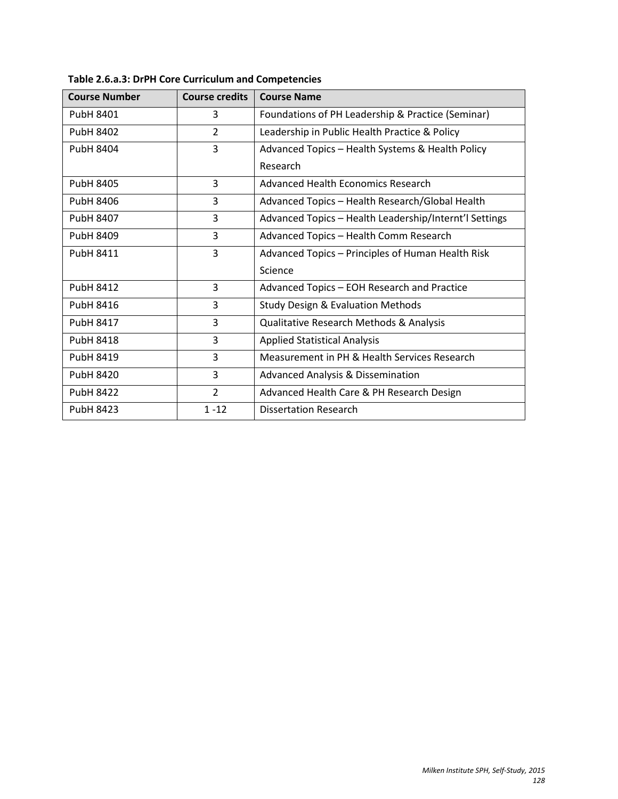| <b>Course Number</b> | <b>Course credits</b> | <b>Course Name</b>                                     |
|----------------------|-----------------------|--------------------------------------------------------|
| PubH 8401            | 3                     | Foundations of PH Leadership & Practice (Seminar)      |
| PubH 8402            | $\overline{2}$        | Leadership in Public Health Practice & Policy          |
| PubH 8404            | 3                     | Advanced Topics - Health Systems & Health Policy       |
|                      |                       | Research                                               |
| PubH 8405            | 3                     | Advanced Health Economics Research                     |
| PubH 8406            | 3                     | Advanced Topics - Health Research/Global Health        |
| PubH 8407            | 3                     | Advanced Topics - Health Leadership/Internt'l Settings |
| PubH 8409            | 3                     | Advanced Topics - Health Comm Research                 |
| PubH 8411            | 3                     | Advanced Topics - Principles of Human Health Risk      |
|                      |                       | Science                                                |
| <b>PubH 8412</b>     | 3                     | Advanced Topics - EOH Research and Practice            |
| PubH 8416            | 3                     | <b>Study Design &amp; Evaluation Methods</b>           |
| <b>PubH 8417</b>     | 3                     | <b>Qualitative Research Methods &amp; Analysis</b>     |
| <b>PubH 8418</b>     | 3                     | <b>Applied Statistical Analysis</b>                    |
| PubH 8419            | 3                     | Measurement in PH & Health Services Research           |
| <b>PubH 8420</b>     | 3                     | <b>Advanced Analysis &amp; Dissemination</b>           |
| <b>PubH 8422</b>     | $\overline{2}$        | Advanced Health Care & PH Research Design              |
| <b>PubH 8423</b>     | $1 - 12$              | <b>Dissertation Research</b>                           |

**Table 2.6.a.3: DrPH Core Curriculum and Competencies**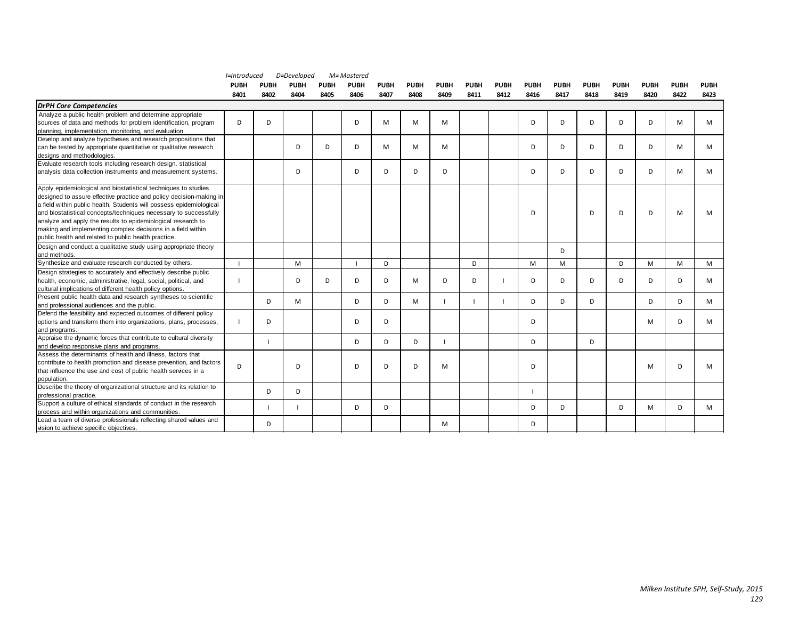|                                                                                                           | l=Introduced |             | D=Developed | M= Mastered |             |             |             |      |             |             |             |             |             |             |             |             |             |
|-----------------------------------------------------------------------------------------------------------|--------------|-------------|-------------|-------------|-------------|-------------|-------------|------|-------------|-------------|-------------|-------------|-------------|-------------|-------------|-------------|-------------|
|                                                                                                           | <b>PUBH</b>  | <b>PUBH</b> | <b>PUBH</b> | <b>PUBH</b> | <b>PUBH</b> | <b>PUBH</b> | <b>PUBH</b> | PUBH | <b>PUBH</b> | <b>PUBH</b> | <b>PUBH</b> | <b>PUBH</b> | <b>PUBH</b> | <b>PUBH</b> | <b>PUBH</b> | <b>PUBH</b> | <b>PUBH</b> |
|                                                                                                           | 8401         | 8402        | 8404        | 8405        | 8406        | 8407        | 8408        | 8409 | 8411        | 8412        | 8416        | 8417        | 8418        | 8419        | 8420        | 8422        | 8423        |
| <b>DrPH Core Competencies</b>                                                                             |              |             |             |             |             |             |             |      |             |             |             |             |             |             |             |             |             |
| Analyze a public health problem and determine appropriate                                                 |              |             |             |             |             |             |             |      |             |             |             |             |             |             |             |             |             |
| sources of data and methods for problem identification, program                                           | D            | D           |             |             | D           | M           | M           | M    |             |             | D           | D           | D           | D           | D           | м           | М           |
| planning, implementation, monitoring, and evaluation.                                                     |              |             |             |             |             |             |             |      |             |             |             |             |             |             |             |             |             |
| Develop and analyze hypotheses and research propositions that                                             |              |             |             |             |             |             |             |      |             |             |             |             |             |             |             |             |             |
| can be tested by appropriate quantitative or qualitative research                                         |              |             | D           | D           | D           | М           | M           | M    |             |             | D           | D           | D           | D           | D           | м           | М           |
| designs and methodologies.                                                                                |              |             |             |             |             |             |             |      |             |             |             |             |             |             |             |             |             |
| Evaluate research tools including research design, statistical                                            |              |             |             |             |             |             |             |      |             |             |             |             |             |             |             |             |             |
| analysis data collection instruments and measurement systems.                                             |              |             | D           |             | D           | D           | D           | D    |             |             | D           | D           | D           | D           | D           | м           | М           |
| Apply epidemiological and biostatistical techniques to studies                                            |              |             |             |             |             |             |             |      |             |             |             |             |             |             |             |             |             |
| designed to assure effective practice and policy decision-making in                                       |              |             |             |             |             |             |             |      |             |             |             |             |             |             |             |             |             |
| a field within public health. Students will possess epidemiological                                       |              |             |             |             |             |             |             |      |             |             |             |             |             |             |             |             |             |
| and biostatistical concepts/techniques necessary to successfully                                          |              |             |             |             |             |             |             |      |             |             | D           |             | D           | D           | D.          | м           | м           |
| analyze and apply the results to epidemiological research to                                              |              |             |             |             |             |             |             |      |             |             |             |             |             |             |             |             |             |
| making and implementing complex decisions in a field within                                               |              |             |             |             |             |             |             |      |             |             |             |             |             |             |             |             |             |
| public health and related to public health practice.                                                      |              |             |             |             |             |             |             |      |             |             |             |             |             |             |             |             |             |
| Design and conduct a qualitative study using appropriate theory                                           |              |             |             |             |             |             |             |      |             |             |             | D           |             |             |             |             |             |
| and methods.                                                                                              |              |             |             |             |             |             |             |      |             |             |             |             |             |             |             |             |             |
| Synthesize and evaluate research conducted by others.                                                     |              |             | M           |             |             | D           |             |      | D           |             | M           | M           |             | D           | M           | M           | M           |
| Design strategies to accurately and effectively describe public                                           |              |             |             |             |             |             |             |      |             |             |             |             |             |             |             |             |             |
| health, economic, administrative, legal, social, political, and                                           |              |             | D           | D           | D           | D           | M           | D    | D           |             | D           | D           | D           | D           | D.          | D           | м           |
| cultural implications of different health policy options.                                                 |              |             |             |             |             |             |             |      |             |             |             |             |             |             |             |             |             |
| Present public health data and research syntheses to scientific                                           |              | D           | M           |             | D           | D           | M           |      |             |             | D           | D           | D           |             | D.          | D           | М           |
| and professional audiences and the public.                                                                |              |             |             |             |             |             |             |      |             |             |             |             |             |             |             |             |             |
| Defend the feasibility and expected outcomes of different policy                                          |              |             |             |             |             |             |             |      |             |             |             |             |             |             |             |             |             |
| options and transform them into organizations, plans, processes,                                          | -1           | D           |             |             | D           | D           |             |      |             |             | D           |             |             |             | M           | D           | М           |
| and programs.                                                                                             |              |             |             |             |             |             |             |      |             |             |             |             |             |             |             |             |             |
| Appraise the dynamic forces that contribute to cultural diversity                                         |              |             |             |             | D           | D           | D           |      |             |             | D           |             | D           |             |             |             |             |
| and develop responsive plans and programs.<br>Assess the determinants of health and illness, factors that |              |             |             |             |             |             |             |      |             |             |             |             |             |             |             |             |             |
| contribute to health promotion and disease prevention, and factors                                        |              |             |             |             |             |             |             |      |             |             |             |             |             |             |             |             |             |
| that influence the use and cost of public health services in a                                            | D            |             | D           |             | D           | D           | D           | M    |             |             | D           |             |             |             | M           | D           | м           |
|                                                                                                           |              |             |             |             |             |             |             |      |             |             |             |             |             |             |             |             |             |
| population.<br>Describe the theory of organizational structure and its relation to                        |              |             |             |             |             |             |             |      |             |             |             |             |             |             |             |             |             |
| professional practice.                                                                                    |              | D           | D           |             |             |             |             |      |             |             |             |             |             |             |             |             |             |
| Support a culture of ethical standards of conduct in the research                                         |              |             |             |             |             |             |             |      |             |             |             |             |             |             |             |             |             |
| process and within organizations and communities.                                                         |              |             |             |             | D           | D           |             |      |             |             | D           | D           |             | D           | M           | D           | М           |
| Lead a team of diverse professionals reflecting shared values and                                         |              |             |             |             |             |             |             |      |             |             |             |             |             |             |             |             |             |
| vision to achieve specific objectives.                                                                    |              | D           |             |             |             |             |             | M    |             |             | D           |             |             |             |             |             |             |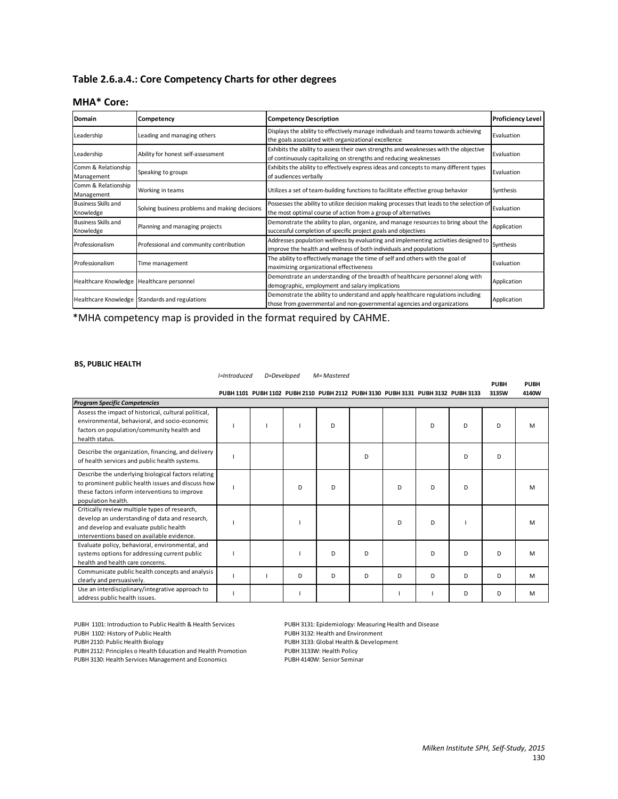# **Table 2.6.a.4.: Core Competency Charts for other degrees**

#### **MHA\* Core:**

| Domain                                    | Competency                                     | Competency Description                                                                                                                                      | <b>Proficiency Level</b> |
|-------------------------------------------|------------------------------------------------|-------------------------------------------------------------------------------------------------------------------------------------------------------------|--------------------------|
| Leadership                                | Leading and managing others                    | Displays the ability to effectively manage individuals and teams towards achieving<br>the goals associated with organizational excellence                   | Evaluation               |
| Leadership                                | Ability for honest self-assessment             | Exhibits the ability to assess their own strengths and weaknesses with the objective<br>of continuously capitalizing on strengths and reducing weaknesses   | <b>Evaluation</b>        |
| Comm & Relationship<br>Management         | Speaking to groups                             | Exhibits the ability to effectively express ideas and concepts to many different types<br>of audiences verbally                                             | Evaluation               |
| Comm & Relationship<br>Management         | Working in teams                               | Utilizes a set of team-building functions to facilitate effective group behavior                                                                            | Synthesis                |
| <b>Business Skills and</b><br>Knowledge   | Solving business problems and making decisions | Possesses the ability to utilize decision making processes that leads to the selection of<br>the most optimal course of action from a group of alternatives | Evaluation               |
| <b>Business Skills and</b><br>Knowledge   | Planning and managing projects                 | Demonstrate the ability to plan, organize, and manage resources to bring about the<br>successful completion of specific project goals and objectives        | Application              |
| Professionalism                           | Professional and community contribution        | Addresses population wellness by evaluating and implementing activities designed to<br>improve the health and wellness of both individuals and populations  | Synthesis                |
| Professionalism                           | Time management                                | The ability to effectively manage the time of self and others with the goal of<br>maximizing organizational effectiveness                                   | Evaluation               |
| Healthcare Knowledge Healthcare personnel |                                                | Demonstrate an understanding of the breadth of healthcare personnel along with<br>demographic, employment and salary implications                           | Application              |
|                                           | Healthcare Knowledge Standards and regulations | Demonstrate the ability to understand and apply healthcare regulations including<br>those from governmental and non-governmental agencies and organizations | Application              |

\*MHA competency map is provided in the format required by CAHME.

#### **BS, PUBLIC HEALTH**

|                                                                                                                                                                                         | I=Introduced | D=Developed |   | M= Mastered | <b>PUBH</b> | <b>PUBH</b>                                                                     |   |   |       |       |
|-----------------------------------------------------------------------------------------------------------------------------------------------------------------------------------------|--------------|-------------|---|-------------|-------------|---------------------------------------------------------------------------------|---|---|-------|-------|
|                                                                                                                                                                                         |              |             |   |             |             | PUBH 1101 PUBH 1102 PUBH 2110 PUBH 2112 PUBH 3130 PUBH 3131 PUBH 3132 PUBH 3133 |   |   | 3135W | 4140W |
| <b>Program Specific Competencies</b>                                                                                                                                                    |              |             |   |             |             |                                                                                 |   |   |       |       |
| Assess the impact of historical, cultural political,<br>environmental, behavioral, and socio-economic<br>factors on population/community health and<br>health status.                   |              |             |   | D           |             |                                                                                 | D | D | D     | M     |
| Describe the organization, financing, and delivery<br>of health services and public health systems.                                                                                     |              |             |   |             | D           |                                                                                 |   | D | D     |       |
| Describe the underlying biological factors relating<br>to prominent public health issues and discuss how<br>these factors inform interventions to improve<br>population health.         |              |             | D | D           |             | D                                                                               | D | D |       | M     |
| Critically review multiple types of research,<br>develop an understanding of data and research,<br>and develop and evaluate public health<br>interventions based on available evidence. |              |             |   |             |             | D                                                                               | D |   |       | M     |
| Evaluate policy, behavioral, environmental, and<br>systems options for addressing current public<br>health and health care concerns.                                                    |              |             |   | D           | D           |                                                                                 | D | D | D     | M     |
| Communicate public health concepts and analysis<br>clearly and persuasively.                                                                                                            |              |             | D | D           | D           | D                                                                               | D | D | D     | M     |
| Use an interdisciplinary/integrative approach to<br>address public health issues.                                                                                                       |              |             |   |             |             |                                                                                 |   | D | D     | M     |

PUBH 1101: Introduction to Public Health & Health Services PUBH 3131: Epidemiology: Measuring Health and Disease PUBH 2110: Public Health Biology PUBH 3133: Global Health & Development PUBH 2112: Principles o Health Education and Health Promotion PUBH 3133W: Health Policy PUBH 3130: Health Services Management and Economics PUBH 4140W: Senior Seminar

PUBH 3132: Health and Environment<br>PUBH 3133: Global Health & Development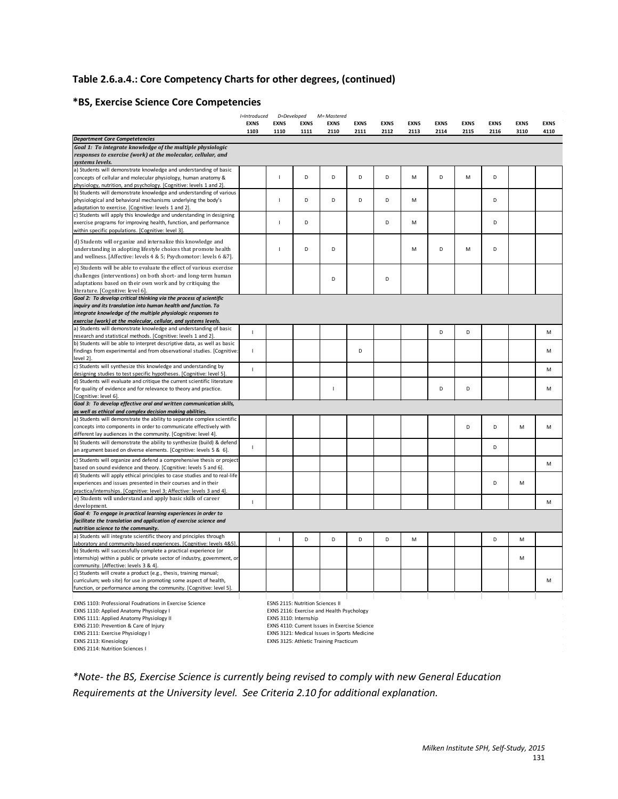# **Table 2.6.a.4.: Core Competency Charts for other degrees, (continued)**

# **\*BS, Exercise Science Core Competencies**

|                                                                                                                                      | I=Introduced   | D=Developed    |                                         | M=Mastered                                    |             |             |             |             |             |             |      |             |
|--------------------------------------------------------------------------------------------------------------------------------------|----------------|----------------|-----------------------------------------|-----------------------------------------------|-------------|-------------|-------------|-------------|-------------|-------------|------|-------------|
|                                                                                                                                      | <b>EXNS</b>    | <b>EXNS</b>    | <b>EXNS</b>                             | <b>EXNS</b>                                   | <b>EXNS</b> | <b>EXNS</b> | <b>EXNS</b> | <b>EXNS</b> | <b>EXNS</b> | <b>EXNS</b> | EXNS | <b>EXNS</b> |
|                                                                                                                                      | 1103           | 1110           | 1111                                    | 2110                                          | 2111        | 2112        | 2113        | 2114        | 2115        | 2116        | 3110 | 4110        |
| <b>Department Core Competetencies</b>                                                                                                |                |                |                                         |                                               |             |             |             |             |             |             |      |             |
| Goal 1: To integrate knowledge of the multiple physiologic                                                                           |                |                |                                         |                                               |             |             |             |             |             |             |      |             |
| responses to exercise (work) at the molecular, cellular, and<br>systems levels.                                                      |                |                |                                         |                                               |             |             |             |             |             |             |      |             |
| a) Students will demonstrate knowledge and understanding of basic                                                                    |                |                |                                         |                                               |             |             |             |             |             |             |      |             |
| concepts of cellular and molecular physiology, human anatomy &                                                                       |                | $\mathbf{I}$   | D                                       | D                                             | D           | D           | M           | D           | M           | D           |      |             |
| physiology, nutrition, and psychology. [Cognitive: levels 1 and 2].                                                                  |                |                |                                         |                                               |             |             |             |             |             |             |      |             |
| b) Students will demonstrate knowledge and understanding of various                                                                  |                |                |                                         |                                               |             |             |             |             |             |             |      |             |
| physiological and behavioral mechanisms underlying the body's                                                                        |                | $\overline{1}$ | D                                       | D                                             | D           | D           | M           |             |             | D           |      |             |
| adaptation to exercise. [Cognitive: levels 1 and 2].                                                                                 |                |                |                                         |                                               |             |             |             |             |             |             |      |             |
| c) Students will apply this knowledge and understanding in designing                                                                 |                |                |                                         |                                               |             |             |             |             |             |             |      |             |
| exercise programs for improving health, function, and performance                                                                    |                | $\mathbf{I}$   | D                                       |                                               |             | D           | M           |             |             | D           |      |             |
| within specific populations. [Cognitive: level 3].                                                                                   |                |                |                                         |                                               |             |             |             |             |             |             |      |             |
| d) Students will organize and internalize this knowledge and                                                                         |                |                |                                         |                                               |             |             |             |             |             |             |      |             |
| understanding in adopting lifestyle choices that promote health                                                                      |                | $\overline{1}$ | D                                       | D                                             |             |             | M           | D           | M           | D           |      |             |
| and wellness. [Affective: levels 4 & 5; Psychomotor: levels 6 &7].                                                                   |                |                |                                         |                                               |             |             |             |             |             |             |      |             |
| e) Students will be able to evaluate the effect of various exercise                                                                  |                |                |                                         |                                               |             |             |             |             |             |             |      |             |
| challenges (interventions) on both short- and long-term human                                                                        |                |                |                                         | D                                             |             | D           |             |             |             |             |      |             |
| adaptations based on their own work and by critiquing the                                                                            |                |                |                                         |                                               |             |             |             |             |             |             |      |             |
| literature. [Cognitive: level 6].                                                                                                    |                |                |                                         |                                               |             |             |             |             |             |             |      |             |
| Goal 2: To develop critical thinking via the process of scientific                                                                   |                |                |                                         |                                               |             |             |             |             |             |             |      |             |
| inquiry and its translation into human health and function. To                                                                       |                |                |                                         |                                               |             |             |             |             |             |             |      |             |
| integrate knowledge of the multiple physiologic responses to                                                                         |                |                |                                         |                                               |             |             |             |             |             |             |      |             |
| exercise (work) at the molecular, cellular, and systems levels.                                                                      |                |                |                                         |                                               |             |             |             |             |             |             |      |             |
| a) Students will demonstrate knowledge and understanding of basic<br>research and statistical methods. [Cognitive: levels 1 and 2].  | $\overline{1}$ |                |                                         |                                               |             |             |             | D           | D           |             |      | M           |
| b) Students will be able to interpret descriptive data, as well as basic                                                             |                |                |                                         |                                               |             |             |             |             |             |             |      |             |
| findings from experimental and from observational studies. [Cognitive:                                                               | T              |                |                                         |                                               | D           |             |             |             |             |             |      | M           |
| level 2].                                                                                                                            |                |                |                                         |                                               |             |             |             |             |             |             |      |             |
| c) Students will synthesize this knowledge and understanding by                                                                      | $\overline{1}$ |                |                                         |                                               |             |             |             |             |             |             |      | M           |
| designing studies to test specific hypotheses. [Cognitive: level 5].                                                                 |                |                |                                         |                                               |             |             |             |             |             |             |      |             |
| d) Students will evaluate and critique the current scientific literature                                                             |                |                |                                         |                                               |             |             |             |             |             |             |      |             |
| for quality of evidence and for relevance to theory and practice.                                                                    |                |                |                                         | J.                                            |             |             |             | D           | D           |             |      | M           |
| [Cognitive: level 6]                                                                                                                 |                |                |                                         |                                               |             |             |             |             |             |             |      |             |
| Goal 3: To develop effective oral and written communication skills,                                                                  |                |                |                                         |                                               |             |             |             |             |             |             |      |             |
| as well as ethical and complex decision making abilities.<br>a) Students will demonstrate the ability to separate complex scientific |                |                |                                         |                                               |             |             |             |             |             |             |      |             |
| concepts into components in order to communicate effectively with                                                                    |                |                |                                         |                                               |             |             |             |             | D           | D           | M    | M           |
| different lay audiences in the community. [Cognitive: level 4].                                                                      |                |                |                                         |                                               |             |             |             |             |             |             |      |             |
| b) Students will demonstrate the ability to synthesize (build) & defend                                                              |                |                |                                         |                                               |             |             |             |             |             |             |      |             |
| an argument based on diverse elements. [Cognitive: levels 5 & 6].                                                                    | $\overline{1}$ |                |                                         |                                               |             |             |             |             |             | D           |      |             |
| c) Students will organize and defend a comprehensive thesis or project                                                               |                |                |                                         |                                               |             |             |             |             |             |             |      |             |
| based on sound evidence and theory. [Cognitive: levels 5 and 6].                                                                     |                |                |                                         |                                               |             |             |             |             |             |             |      | м           |
| d) Students will apply ethical principles to case studies and to real-life                                                           |                |                |                                         |                                               |             |             |             |             |             |             |      |             |
| experiences and issues presented in their courses and in their                                                                       |                |                |                                         |                                               |             |             |             |             |             | D           | M    |             |
| practica/internships. [Cognitive: level 3; Affective: levels 3 and 4].                                                               |                |                |                                         |                                               |             |             |             |             |             |             |      |             |
| e) Students will understand and apply basic skills of career                                                                         | 1              |                |                                         |                                               |             |             |             |             |             |             |      | м           |
| development.                                                                                                                         |                |                |                                         |                                               |             |             |             |             |             |             |      |             |
| Goal 4: To engage in practical learning experiences in order to                                                                      |                |                |                                         |                                               |             |             |             |             |             |             |      |             |
| facilitate the translation and application of exercise science and                                                                   |                |                |                                         |                                               |             |             |             |             |             |             |      |             |
| nutrition science to the community.<br>a) Students will integrate scientific theory and principles through                           |                |                |                                         |                                               |             |             |             |             |             |             |      |             |
| laboratory and community-based experiences. [Cognitive: levels 4&5]                                                                  |                | $\mathbf{I}$   | D                                       | D                                             | D           | D           | M           |             |             | D           | M    |             |
| b) Students will successfully complete a practical experience (or                                                                    |                |                |                                         |                                               |             |             |             |             |             |             |      |             |
| internship) within a public or private sector of industry, government, or                                                            |                |                |                                         |                                               |             |             |             |             |             |             | M    |             |
| community. [Affective: levels 3 & 4].                                                                                                |                |                |                                         |                                               |             |             |             |             |             |             |      |             |
| c) Students will create a product (e.g., thesis, training manual;                                                                    |                |                |                                         |                                               |             |             |             |             |             |             |      |             |
| curriculum; web site) for use in promoting some aspect of health,                                                                    |                |                |                                         |                                               |             |             |             |             |             |             |      | М           |
| function, or performance among the community. [Cognitive: level 5].                                                                  |                |                |                                         |                                               |             |             |             |             |             |             |      |             |
|                                                                                                                                      |                |                |                                         |                                               |             |             |             |             |             |             |      |             |
| EXNS 1103: Professional Foudnations in Exercise Science                                                                              |                |                | <b>ESNS 2115: Nutrition Sciences II</b> |                                               |             |             |             |             |             |             |      |             |
| EXNS 1110: Applied Anatomy Physiology I                                                                                              |                |                | EXNS 3110: Internship                   | EXNS 2116: Exercise and Health Psychology     |             |             |             |             |             |             |      |             |
| EXNS 1111: Applied Anatomy Physiology II<br>EXNS 2110: Prevention & Care of Injury                                                   |                |                |                                         | EXNS 4110: Current Issues in Exercise Science |             |             |             |             |             |             |      |             |
| EXNS 2111: Exercise Physiology I                                                                                                     |                |                |                                         | EXNS 3121: Medical Issues in Sports Medicine  |             |             |             |             |             |             |      |             |
| EXNS 2113: Kinesiology                                                                                                               |                |                |                                         | EXNS 3125: Athletic Training Practicum        |             |             |             |             |             |             |      |             |
| EXNS 2114: Nutrition Sciences I                                                                                                      |                |                |                                         |                                               |             |             |             |             |             |             |      |             |
|                                                                                                                                      |                |                |                                         |                                               |             |             |             |             |             |             |      |             |

*\*Note- the BS, Exercise Science is currently being revised to comply with new General Education Requirements at the University level. See Criteria 2.10 for additional explanation.*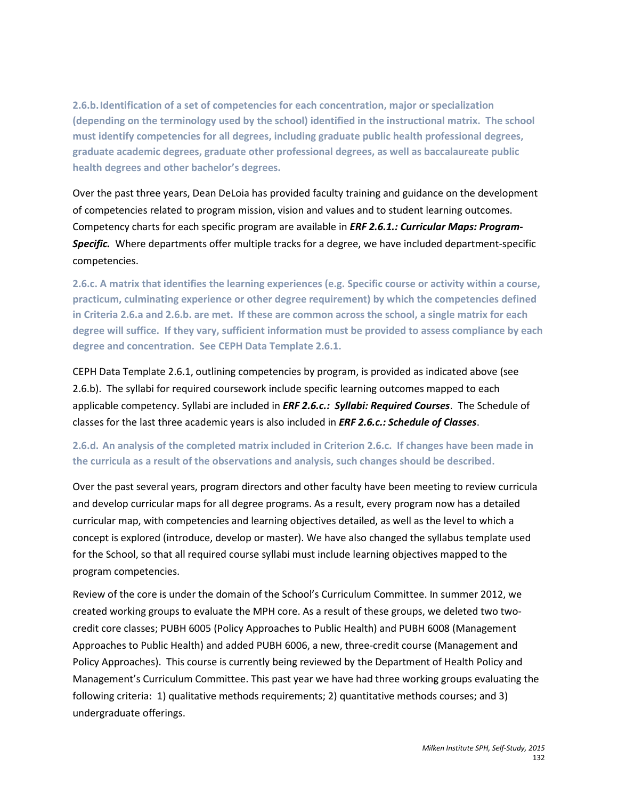**2.6.b.Identification of a set of competencies for each concentration, major or specialization (depending on the terminology used by the school) identified in the instructional matrix. The school must identify competencies for all degrees, including graduate public health professional degrees, graduate academic degrees, graduate other professional degrees, as well as baccalaureate public health degrees and other bachelor's degrees.**

Over the past three years, Dean DeLoia has provided faculty training and guidance on the development of competencies related to program mission, vision and values and to student learning outcomes. Competency charts for each specific program are available in *ERF 2.6.1.: Curricular Maps: Program-Specific.* Where departments offer multiple tracks for a degree, we have included department-specific competencies.

**2.6.c. A matrix that identifies the learning experiences (e.g. Specific course or activity within a course, practicum, culminating experience or other degree requirement) by which the competencies defined in Criteria 2.6.a and 2.6.b. are met. If these are common across the school, a single matrix for each degree will suffice. If they vary, sufficient information must be provided to assess compliance by each degree and concentration. See CEPH Data Template 2.6.1.** 

CEPH Data Template 2.6.1, outlining competencies by program, is provided as indicated above (see 2.6.b). The syllabi for required coursework include specific learning outcomes mapped to each applicable competency. Syllabi are included in *ERF 2.6.c.: Syllabi: Required Courses*. The Schedule of classes for the last three academic years is also included in *ERF 2.6.c.: Schedule of Classes*.

# **2.6.d. An analysis of the completed matrix included in Criterion 2.6.c. If changes have been made in the curricula as a result of the observations and analysis, such changes should be described.**

Over the past several years, program directors and other faculty have been meeting to review curricula and develop curricular maps for all degree programs. As a result, every program now has a detailed curricular map, with competencies and learning objectives detailed, as well as the level to which a concept is explored (introduce, develop or master). We have also changed the syllabus template used for the School, so that all required course syllabi must include learning objectives mapped to the program competencies.

Review of the core is under the domain of the School's Curriculum Committee. In summer 2012, we created working groups to evaluate the MPH core. As a result of these groups, we deleted two twocredit core classes; PUBH 6005 (Policy Approaches to Public Health) and PUBH 6008 (Management Approaches to Public Health) and added PUBH 6006, a new, three-credit course (Management and Policy Approaches). This course is currently being reviewed by the Department of Health Policy and Management's Curriculum Committee. This past year we have had three working groups evaluating the following criteria: 1) qualitative methods requirements; 2) quantitative methods courses; and 3) undergraduate offerings.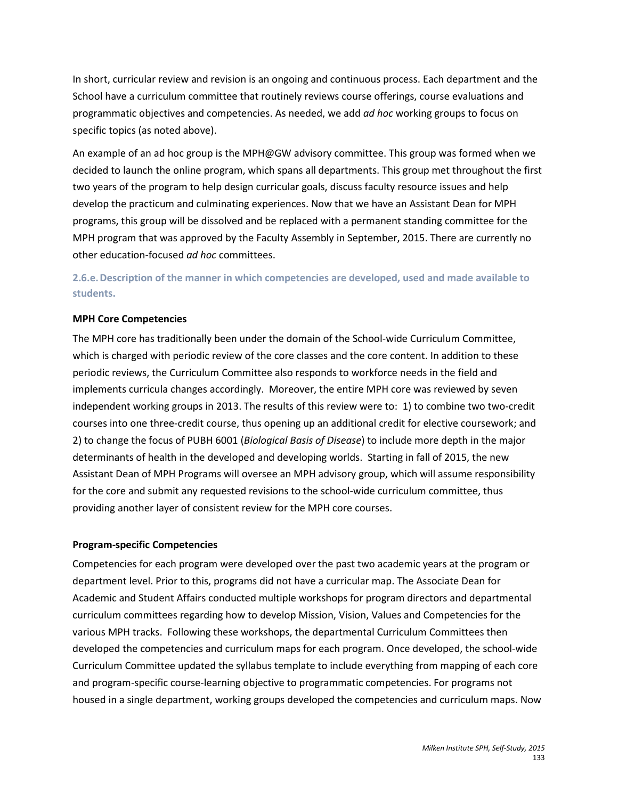In short, curricular review and revision is an ongoing and continuous process. Each department and the School have a curriculum committee that routinely reviews course offerings, course evaluations and programmatic objectives and competencies. As needed, we add *ad hoc* working groups to focus on specific topics (as noted above).

An example of an ad hoc group is the MPH@GW advisory committee. This group was formed when we decided to launch the online program, which spans all departments. This group met throughout the first two years of the program to help design curricular goals, discuss faculty resource issues and help develop the practicum and culminating experiences. Now that we have an Assistant Dean for MPH programs, this group will be dissolved and be replaced with a permanent standing committee for the MPH program that was approved by the Faculty Assembly in September, 2015. There are currently no other education-focused *ad hoc* committees.

# **2.6.e.Description of the manner in which competencies are developed, used and made available to students.**

## **MPH Core Competencies**

The MPH core has traditionally been under the domain of the School-wide Curriculum Committee, which is charged with periodic review of the core classes and the core content. In addition to these periodic reviews, the Curriculum Committee also responds to workforce needs in the field and implements curricula changes accordingly. Moreover, the entire MPH core was reviewed by seven independent working groups in 2013. The results of this review were to: 1) to combine two two-credit courses into one three-credit course, thus opening up an additional credit for elective coursework; and 2) to change the focus of PUBH 6001 (*Biological Basis of Disease*) to include more depth in the major determinants of health in the developed and developing worlds. Starting in fall of 2015, the new Assistant Dean of MPH Programs will oversee an MPH advisory group, which will assume responsibility for the core and submit any requested revisions to the school-wide curriculum committee, thus providing another layer of consistent review for the MPH core courses.

#### **Program-specific Competencies**

Competencies for each program were developed over the past two academic years at the program or department level. Prior to this, programs did not have a curricular map. The Associate Dean for Academic and Student Affairs conducted multiple workshops for program directors and departmental curriculum committees regarding how to develop Mission, Vision, Values and Competencies for the various MPH tracks. Following these workshops, the departmental Curriculum Committees then developed the competencies and curriculum maps for each program. Once developed, the school-wide Curriculum Committee updated the syllabus template to include everything from mapping of each core and program-specific course-learning objective to programmatic competencies. For programs not housed in a single department, working groups developed the competencies and curriculum maps. Now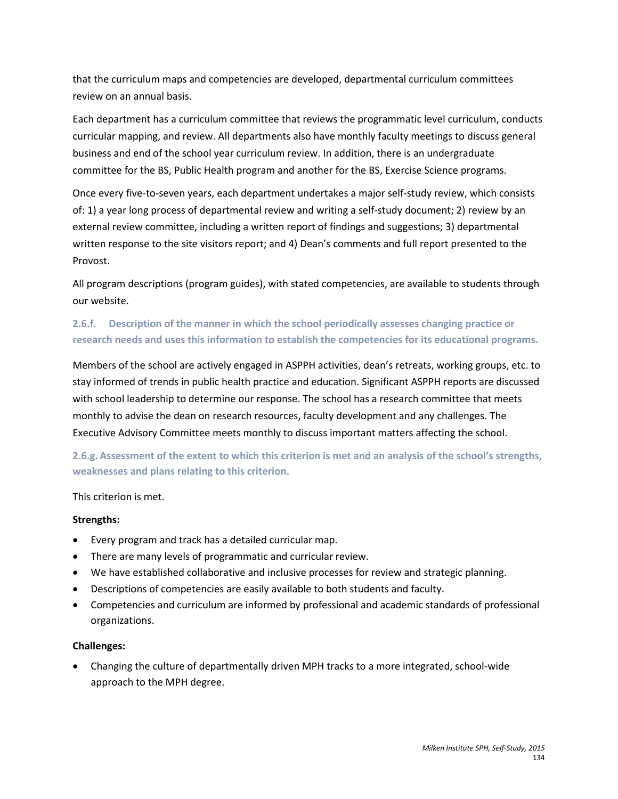that the curriculum maps and competencies are developed, departmental curriculum committees review on an annual basis.

Each department has a curriculum committee that reviews the programmatic level curriculum, conducts curricular mapping, and review. All departments also have monthly faculty meetings to discuss general business and end of the school year curriculum review. In addition, there is an undergraduate committee for the BS, Public Health program and another for the BS, Exercise Science programs.

Once every five-to-seven years, each department undertakes a major self-study review, which consists of: 1) a year long process of departmental review and writing a self-study document; 2) review by an external review committee, including a written report of findings and suggestions; 3) departmental written response to the site visitors report; and 4) Dean's comments and full report presented to the Provost.

All program descriptions (program guides), with stated competencies, are available to students through our website.

# **2.6.f. Description of the manner in which the school periodically assesses changing practice or research needs and uses this information to establish the competencies for its educational programs.**

Members of the school are actively engaged in ASPPH activities, dean's retreats, working groups, etc. to stay informed of trends in public health practice and education. Significant ASPPH reports are discussed with school leadership to determine our response. The school has a research committee that meets monthly to advise the dean on research resources, faculty development and any challenges. The Executive Advisory Committee meets monthly to discuss important matters affecting the school.

**2.6.g. Assessment of the extent to which this criterion is met and an analysis of the school's strengths, weaknesses and plans relating to this criterion.**

## This criterion is met.

#### **Strengths:**

- Every program and track has a detailed curricular map.
- There are many levels of programmatic and curricular review.
- We have established collaborative and inclusive processes for review and strategic planning.
- Descriptions of competencies are easily available to both students and faculty.
- Competencies and curriculum are informed by professional and academic standards of professional organizations.

#### **Challenges:**

• Changing the culture of departmentally driven MPH tracks to a more integrated, school-wide approach to the MPH degree.